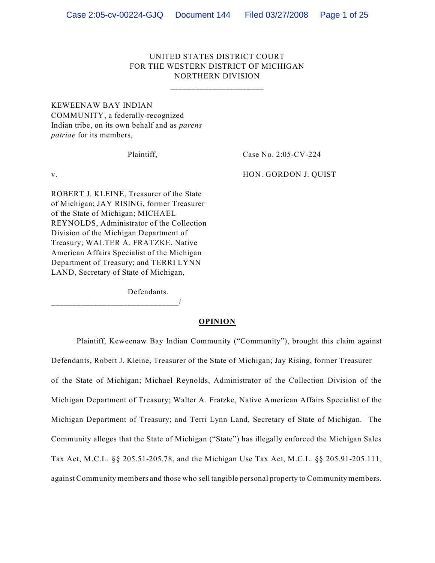# UNITED STATES DISTRICT COURT FOR THE WESTERN DISTRICT OF MICHIGAN NORTHERN DIVISION

 $\frac{1}{2}$  ,  $\frac{1}{2}$  ,  $\frac{1}{2}$  ,  $\frac{1}{2}$  ,  $\frac{1}{2}$  ,  $\frac{1}{2}$  ,  $\frac{1}{2}$  ,  $\frac{1}{2}$  ,  $\frac{1}{2}$  ,  $\frac{1}{2}$  ,  $\frac{1}{2}$  ,  $\frac{1}{2}$  ,  $\frac{1}{2}$  ,  $\frac{1}{2}$  ,  $\frac{1}{2}$  ,  $\frac{1}{2}$  ,  $\frac{1}{2}$  ,  $\frac{1}{2}$  ,  $\frac{1$ 

KEWEENAW BAY INDIAN COMMUNITY, a federally-recognized Indian tribe, on its own behalf and as *parens patriae* for its members,

Plaintiff, Case No. 2:05-CV-224

v. **HON. GORDON J. QUIST** 

ROBERT J. KLEINE, Treasurer of the State of Michigan; JAY RISING, former Treasurer of the State of Michigan; MICHAEL REYNOLDS, Administrator of the Collection Division of the Michigan Department of Treasury; WALTER A. FRATZKE, Native American Affairs Specialist of the Michigan Department of Treasury; and TERRI LYNN LAND, Secretary of State of Michigan,

Defendants.

\_\_\_\_\_\_\_\_\_\_\_\_\_\_\_\_\_\_\_\_\_\_\_\_\_\_\_\_\_\_/

## **OPINION**

Plaintiff, Keweenaw Bay Indian Community ("Community"), brought this claim against Defendants, Robert J. Kleine, Treasurer of the State of Michigan; Jay Rising, former Treasurer of the State of Michigan; Michael Reynolds, Administrator of the Collection Division of the Michigan Department of Treasury; Walter A. Fratzke, Native American Affairs Specialist of the Michigan Department of Treasury; and Terri Lynn Land, Secretary of State of Michigan. The Community alleges that the State of Michigan ("State") has illegally enforced the Michigan Sales Tax Act, M.C.L. §§ 205.51-205.78, and the Michigan Use Tax Act, M.C.L. §§ 205.91-205.111, against Community members and those who sell tangible personal property to Community members.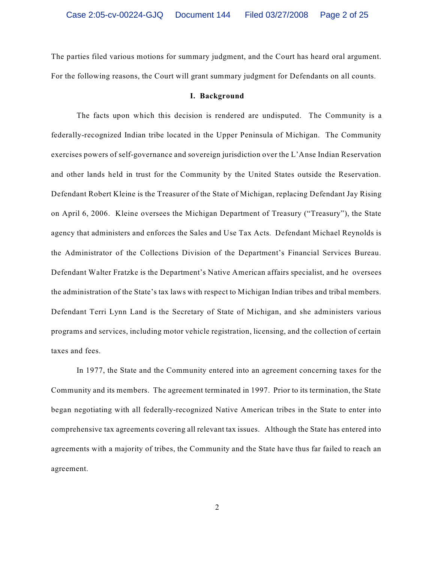The parties filed various motions for summary judgment, and the Court has heard oral argument. For the following reasons, the Court will grant summary judgment for Defendants on all counts.

#### **I. Background**

The facts upon which this decision is rendered are undisputed. The Community is a federally-recognized Indian tribe located in the Upper Peninsula of Michigan. The Community exercises powers of self-governance and sovereign jurisdiction over the L'Anse Indian Reservation and other lands held in trust for the Community by the United States outside the Reservation. Defendant Robert Kleine is the Treasurer of the State of Michigan, replacing Defendant Jay Rising on April 6, 2006. Kleine oversees the Michigan Department of Treasury ("Treasury"), the State agency that administers and enforces the Sales and Use Tax Acts. Defendant Michael Reynolds is the Administrator of the Collections Division of the Department's Financial Services Bureau. Defendant Walter Fratzke is the Department's Native American affairs specialist, and he oversees the administration of the State's tax laws with respect to Michigan Indian tribes and tribal members. Defendant Terri Lynn Land is the Secretary of State of Michigan, and she administers various programs and services, including motor vehicle registration, licensing, and the collection of certain taxes and fees.

In 1977, the State and the Community entered into an agreement concerning taxes for the Community and its members. The agreement terminated in 1997. Prior to its termination, the State began negotiating with all federally-recognized Native American tribes in the State to enter into comprehensive tax agreements covering all relevant tax issues. Although the State has entered into agreements with a majority of tribes, the Community and the State have thus far failed to reach an agreement.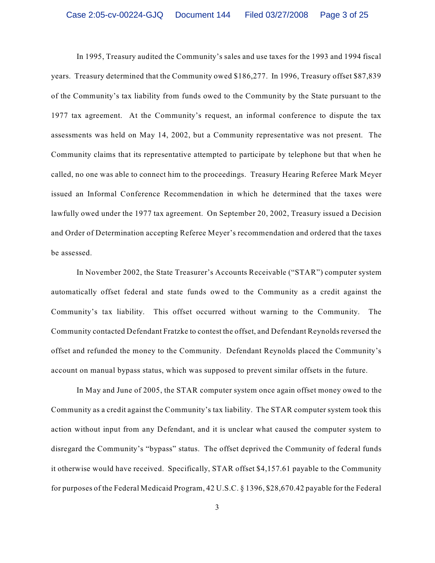In 1995, Treasury audited the Community's sales and use taxes for the 1993 and 1994 fiscal years. Treasury determined that the Community owed \$186,277. In 1996, Treasury offset \$87,839 of the Community's tax liability from funds owed to the Community by the State pursuant to the 1977 tax agreement. At the Community's request, an informal conference to dispute the tax assessments was held on May 14, 2002, but a Community representative was not present. The Community claims that its representative attempted to participate by telephone but that when he called, no one was able to connect him to the proceedings. Treasury Hearing Referee Mark Meyer issued an Informal Conference Recommendation in which he determined that the taxes were lawfully owed under the 1977 tax agreement. On September 20, 2002, Treasury issued a Decision and Order of Determination accepting Referee Meyer's recommendation and ordered that the taxes be assessed.

In November 2002, the State Treasurer's Accounts Receivable ("STAR") computer system automatically offset federal and state funds owed to the Community as a credit against the Community's tax liability. This offset occurred without warning to the Community. The Community contacted Defendant Fratzke to contest the offset, and Defendant Reynolds reversed the offset and refunded the money to the Community. Defendant Reynolds placed the Community's account on manual bypass status, which was supposed to prevent similar offsets in the future.

In May and June of 2005, the STAR computer system once again offset money owed to the Community as a credit against the Community's tax liability. The STAR computer system took this action without input from any Defendant, and it is unclear what caused the computer system to disregard the Community's "bypass" status. The offset deprived the Community of federal funds it otherwise would have received. Specifically, STAR offset \$4,157.61 payable to the Community for purposes of the Federal Medicaid Program, 42 U.S.C. § 1396, \$28,670.42 payable for the Federal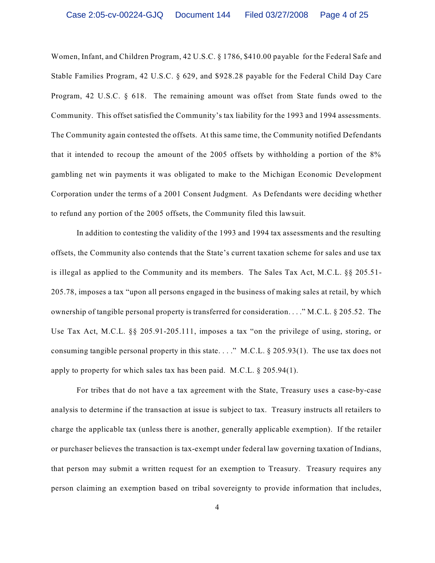Women, Infant, and Children Program, 42 U.S.C. § 1786, \$410.00 payable for the Federal Safe and Stable Families Program, 42 U.S.C. § 629, and \$928.28 payable for the Federal Child Day Care Program, 42 U.S.C. § 618. The remaining amount was offset from State funds owed to the Community. This offset satisfied the Community's tax liability for the 1993 and 1994 assessments. The Community again contested the offsets. At this same time, the Community notified Defendants that it intended to recoup the amount of the 2005 offsets by withholding a portion of the 8% gambling net win payments it was obligated to make to the Michigan Economic Development Corporation under the terms of a 2001 Consent Judgment. As Defendants were deciding whether to refund any portion of the 2005 offsets, the Community filed this lawsuit.

In addition to contesting the validity of the 1993 and 1994 tax assessments and the resulting offsets, the Community also contends that the State's current taxation scheme for sales and use tax is illegal as applied to the Community and its members. The Sales Tax Act, M.C.L. §§ 205.51- 205.78, imposes a tax "upon all persons engaged in the business of making sales at retail, by which ownership of tangible personal property is transferred for consideration. . . ." M.C.L. § 205.52. The Use Tax Act, M.C.L. §§ 205.91-205.111, imposes a tax "on the privilege of using, storing, or consuming tangible personal property in this state...." M.C.L.  $\S 205.93(1)$ . The use tax does not apply to property for which sales tax has been paid. M.C.L. § 205.94(1).

For tribes that do not have a tax agreement with the State, Treasury uses a case-by-case analysis to determine if the transaction at issue is subject to tax. Treasury instructs all retailers to charge the applicable tax (unless there is another, generally applicable exemption). If the retailer or purchaser believes the transaction is tax-exempt under federal law governing taxation of Indians, that person may submit a written request for an exemption to Treasury. Treasury requires any person claiming an exemption based on tribal sovereignty to provide information that includes,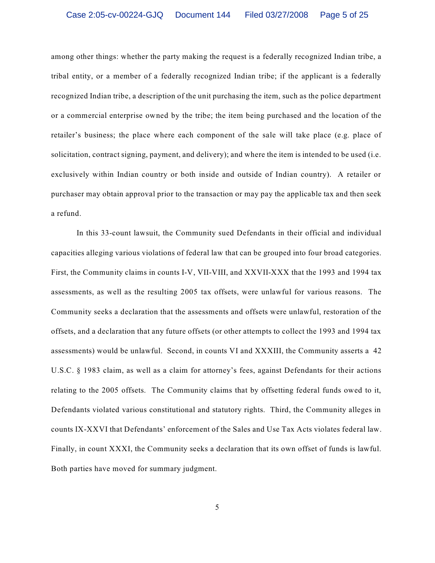among other things: whether the party making the request is a federally recognized Indian tribe, a tribal entity, or a member of a federally recognized Indian tribe; if the applicant is a federally recognized Indian tribe, a description of the unit purchasing the item, such as the police department or a commercial enterprise owned by the tribe; the item being purchased and the location of the retailer's business; the place where each component of the sale will take place (e.g. place of solicitation, contract signing, payment, and delivery); and where the item is intended to be used (i.e. exclusively within Indian country or both inside and outside of Indian country). A retailer or purchaser may obtain approval prior to the transaction or may pay the applicable tax and then seek a refund.

In this 33-count lawsuit, the Community sued Defendants in their official and individual capacities alleging various violations of federal law that can be grouped into four broad categories. First, the Community claims in counts I-V, VII-VIII, and XXVII-XXX that the 1993 and 1994 tax assessments, as well as the resulting 2005 tax offsets, were unlawful for various reasons. The Community seeks a declaration that the assessments and offsets were unlawful, restoration of the offsets, and a declaration that any future offsets (or other attempts to collect the 1993 and 1994 tax assessments) would be unlawful. Second, in counts VI and XXXIII, the Community asserts a 42 U.S.C. § 1983 claim, as well as a claim for attorney's fees, against Defendants for their actions relating to the 2005 offsets. The Community claims that by offsetting federal funds owed to it, Defendants violated various constitutional and statutory rights. Third, the Community alleges in counts IX-XXVI that Defendants' enforcement of the Sales and Use Tax Acts violates federal law. Finally, in count XXXI, the Community seeks a declaration that its own offset of funds is lawful. Both parties have moved for summary judgment.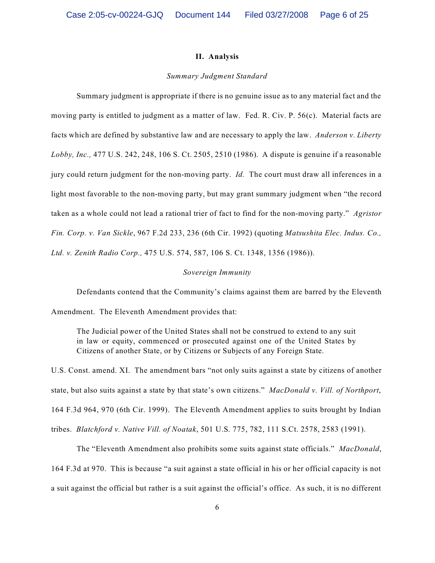#### **II. Analysis**

#### *Summary Judgment Standard*

Summary judgment is appropriate if there is no genuine issue as to any material fact and the moving party is entitled to judgment as a matter of law. Fed. R. Civ. P. 56(c). Material facts are facts which are defined by substantive law and are necessary to apply the law. *Anderson v. Liberty Lobby, Inc.,* 477 U.S. 242, 248, 106 S. Ct. 2505, 2510 (1986). A dispute is genuine if a reasonable jury could return judgment for the non-moving party. *Id.* The court must draw all inferences in a light most favorable to the non-moving party, but may grant summary judgment when "the record taken as a whole could not lead a rational trier of fact to find for the non-moving party." *Agristor Fin. Corp. v. Van Sickle*, 967 F.2d 233, 236 (6th Cir. 1992) (quoting *Matsushita Elec. Indus. Co., Ltd. v. Zenith Radio Corp.,* 475 U.S. 574, 587, 106 S. Ct. 1348, 1356 (1986)).

#### *Sovereign Immunity*

Defendants contend that the Community's claims against them are barred by the Eleventh Amendment. The Eleventh Amendment provides that:

The Judicial power of the United States shall not be construed to extend to any suit in law or equity, commenced or prosecuted against one of the United States by Citizens of another State, or by Citizens or Subjects of any Foreign State.

U.S. Const. amend. XI. The amendment bars "not only suits against a state by citizens of another state, but also suits against a state by that state's own citizens." *MacDonald v. Vill. of Northport*, 164 F.3d 964, 970 (6th Cir. 1999). The Eleventh Amendment applies to suits brought by Indian tribes. *Blatchford v. Native Vill. of Noatak*, 501 U.S. 775, 782, 111 S.Ct. 2578, 2583 (1991).

The "Eleventh Amendment also prohibits some suits against state officials." *MacDonald*, 164 F.3d at 970. This is because "a suit against a state official in his or her official capacity is not a suit against the official but rather is a suit against the official's office. As such, it is no different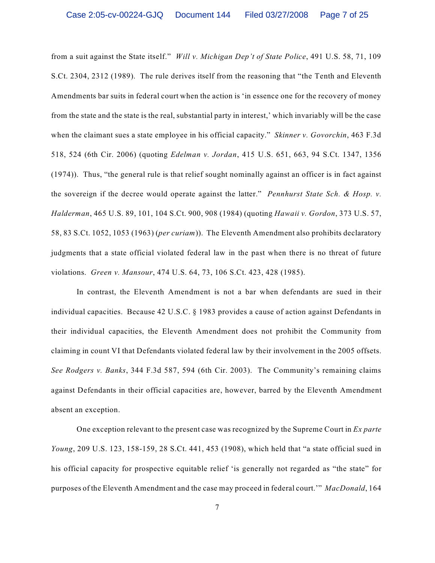from a suit against the State itself." *Will v. Michigan Dep't of State Police*, 491 U.S. 58, 71, 109 S.Ct. 2304, 2312 (1989). The rule derives itself from the reasoning that "the Tenth and Eleventh Amendments bar suits in federal court when the action is 'in essence one for the recovery of money from the state and the state is the real, substantial party in interest,' which invariably will be the case when the claimant sues a state employee in his official capacity." *Skinner v. Govorchin*, 463 F.3d 518, 524 (6th Cir. 2006) (quoting *Edelman v. Jordan*, 415 U.S. 651, 663, 94 S.Ct. 1347, 1356 (1974)). Thus, "the general rule is that relief sought nominally against an officer is in fact against the sovereign if the decree would operate against the latter." *Pennhurst State Sch. & Hosp. v. Halderman*, 465 U.S. 89, 101, 104 S.Ct. 900, 908 (1984) (quoting *Hawaii v. Gordon*, 373 U.S. 57, 58, 83 S.Ct. 1052, 1053 (1963) (*per curiam*)). The Eleventh Amendment also prohibits declaratory judgments that a state official violated federal law in the past when there is no threat of future violations. *Green v. Mansour*, 474 U.S. 64, 73, 106 S.Ct. 423, 428 (1985).

In contrast, the Eleventh Amendment is not a bar when defendants are sued in their individual capacities. Because 42 U.S.C. § 1983 provides a cause of action against Defendants in their individual capacities, the Eleventh Amendment does not prohibit the Community from claiming in count VI that Defendants violated federal law by their involvement in the 2005 offsets. *See Rodgers v. Banks*, 344 F.3d 587, 594 (6th Cir. 2003). The Community's remaining claims against Defendants in their official capacities are, however, barred by the Eleventh Amendment absent an exception.

One exception relevant to the present case was recognized by the Supreme Court in *Ex parte Young*, 209 U.S. 123, 158-159, 28 S.Ct. 441, 453 (1908), which held that "a state official sued in his official capacity for prospective equitable relief 'is generally not regarded as "the state" for purposes of the Eleventh Amendment and the case may proceed in federal court.'" *MacDonald*, 164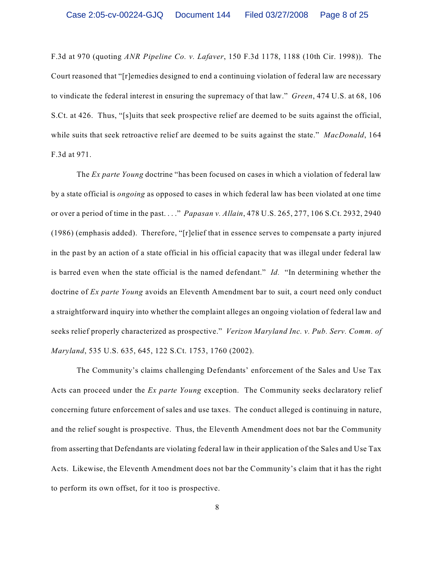F.3d at 970 (quoting *ANR Pipeline Co. v. Lafaver*, 150 F.3d 1178, 1188 (10th Cir. 1998)). The Court reasoned that "[r]emedies designed to end a continuing violation of federal law are necessary to vindicate the federal interest in ensuring the supremacy of that law." *Green*, 474 U.S. at 68, 106 S.Ct. at 426. Thus, "[s]uits that seek prospective relief are deemed to be suits against the official, while suits that seek retroactive relief are deemed to be suits against the state." *MacDonald*, 164 F.3d at 971.

The *Ex parte Young* doctrine "has been focused on cases in which a violation of federal law by a state official is *ongoing* as opposed to cases in which federal law has been violated at one time or over a period of time in the past. . . ." *Papasan v. Allain*, 478 U.S. 265, 277, 106 S.Ct. 2932, 2940 (1986) (emphasis added). Therefore, "[r]elief that in essence serves to compensate a party injured in the past by an action of a state official in his official capacity that was illegal under federal law is barred even when the state official is the named defendant." *Id.* "In determining whether the doctrine of *Ex parte Young* avoids an Eleventh Amendment bar to suit, a court need only conduct a straightforward inquiry into whether the complaint alleges an ongoing violation of federal law and seeks relief properly characterized as prospective." *Verizon Maryland Inc. v. Pub. Serv. Comm. of Maryland*, 535 U.S. 635, 645, 122 S.Ct. 1753, 1760 (2002).

The Community's claims challenging Defendants' enforcement of the Sales and Use Tax Acts can proceed under the *Ex parte Young* exception. The Community seeks declaratory relief concerning future enforcement of sales and use taxes. The conduct alleged is continuing in nature, and the relief sought is prospective. Thus, the Eleventh Amendment does not bar the Community from asserting that Defendants are violating federal law in their application of the Sales and Use Tax Acts. Likewise, the Eleventh Amendment does not bar the Community's claim that it has the right to perform its own offset, for it too is prospective.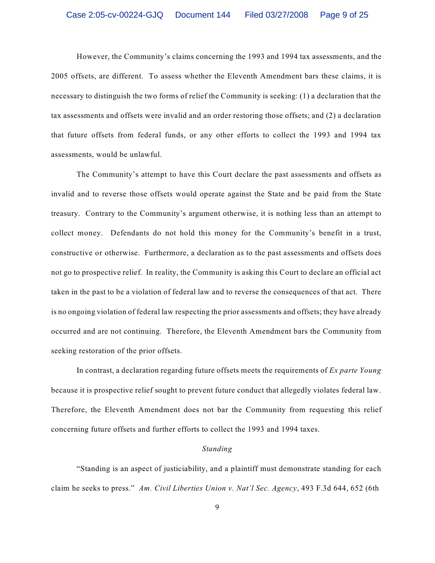However, the Community's claims concerning the 1993 and 1994 tax assessments, and the 2005 offsets, are different. To assess whether the Eleventh Amendment bars these claims, it is necessary to distinguish the two forms of relief the Community is seeking: (1) a declaration that the tax assessments and offsets were invalid and an order restoring those offsets; and (2) a declaration that future offsets from federal funds, or any other efforts to collect the 1993 and 1994 tax assessments, would be unlawful.

The Community's attempt to have this Court declare the past assessments and offsets as invalid and to reverse those offsets would operate against the State and be paid from the State treasury. Contrary to the Community's argument otherwise, it is nothing less than an attempt to collect money. Defendants do not hold this money for the Community's benefit in a trust, constructive or otherwise. Furthermore, a declaration as to the past assessments and offsets does not go to prospective relief. In reality, the Community is asking this Court to declare an official act taken in the past to be a violation of federal law and to reverse the consequences of that act. There is no ongoing violation of federal law respecting the prior assessments and offsets; they have already occurred and are not continuing. Therefore, the Eleventh Amendment bars the Community from seeking restoration of the prior offsets.

In contrast, a declaration regarding future offsets meets the requirements of *Ex parte Young* because it is prospective relief sought to prevent future conduct that allegedly violates federal law. Therefore, the Eleventh Amendment does not bar the Community from requesting this relief concerning future offsets and further efforts to collect the 1993 and 1994 taxes.

### *Standing*

"Standing is an aspect of justiciability, and a plaintiff must demonstrate standing for each claim he seeks to press." *Am. Civil Liberties Union v. Nat'l Sec. Agency*, 493 F.3d 644, 652 (6th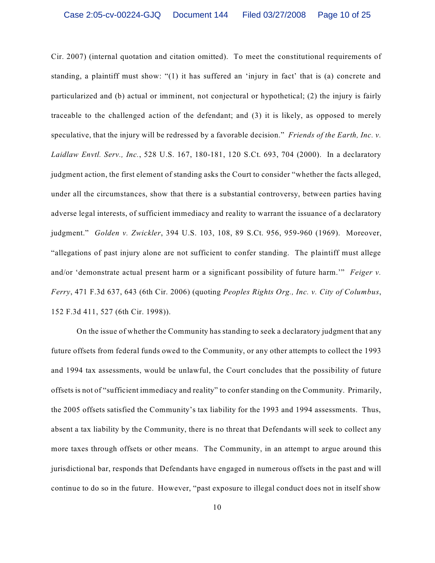Cir. 2007) (internal quotation and citation omitted). To meet the constitutional requirements of standing, a plaintiff must show: "(1) it has suffered an 'injury in fact' that is (a) concrete and particularized and (b) actual or imminent, not conjectural or hypothetical; (2) the injury is fairly traceable to the challenged action of the defendant; and (3) it is likely, as opposed to merely speculative, that the injury will be redressed by a favorable decision." *Friends of the Earth, Inc. v. Laidlaw Envtl. Serv., Inc.*, 528 U.S. 167, 180-181, 120 S.Ct. 693, 704 (2000). In a declaratory judgment action, the first element of standing asks the Court to consider "whether the facts alleged, under all the circumstances, show that there is a substantial controversy, between parties having adverse legal interests, of sufficient immediacy and reality to warrant the issuance of a declaratory judgment." *Golden v. Zwickler*, 394 U.S. 103, 108, 89 S.Ct. 956, 959-960 (1969). Moreover, "allegations of past injury alone are not sufficient to confer standing. The plaintiff must allege and/or 'demonstrate actual present harm or a significant possibility of future harm.'" *Feiger v. Ferry*, 471 F.3d 637, 643 (6th Cir. 2006) (quoting *Peoples Rights Org., Inc. v. City of Columbus*, 152 F.3d 411, 527 (6th Cir. 1998)).

On the issue of whether the Community has standing to seek a declaratory judgment that any future offsets from federal funds owed to the Community, or any other attempts to collect the 1993 and 1994 tax assessments, would be unlawful, the Court concludes that the possibility of future offsets is not of "sufficient immediacy and reality" to confer standing on the Community. Primarily, the 2005 offsets satisfied the Community's tax liability for the 1993 and 1994 assessments. Thus, absent a tax liability by the Community, there is no threat that Defendants will seek to collect any more taxes through offsets or other means. The Community, in an attempt to argue around this jurisdictional bar, responds that Defendants have engaged in numerous offsets in the past and will continue to do so in the future. However, "past exposure to illegal conduct does not in itself show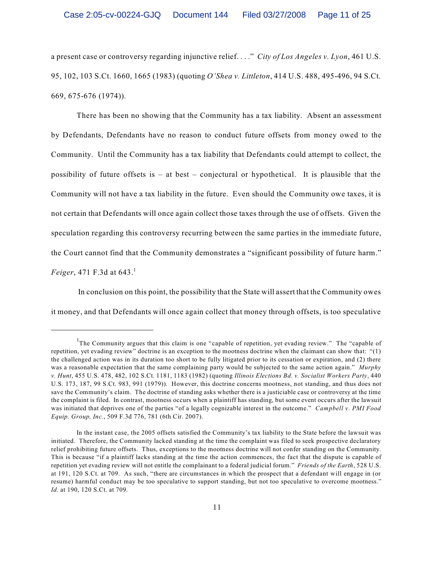a present case or controversy regarding injunctive relief. . . ." *City of Los Angeles v. Lyon*, 461 U.S. 95, 102, 103 S.Ct. 1660, 1665 (1983) (quoting *O'Shea v. Littleton*, 414 U.S. 488, 495-496, 94 S.Ct. 669, 675-676 (1974)).

There has been no showing that the Community has a tax liability. Absent an assessment by Defendants, Defendants have no reason to conduct future offsets from money owed to the Community. Until the Community has a tax liability that Defendants could attempt to collect, the possibility of future offsets is  $-$  at best – conjectural or hypothetical. It is plausible that the Community will not have a tax liability in the future. Even should the Community owe taxes, it is not certain that Defendants will once again collect those taxes through the use of offsets. Given the speculation regarding this controversy recurring between the same parties in the immediate future, the Court cannot find that the Community demonstrates a "significant possibility of future harm." *Feiger*, 471 F.3d at 643. 1

 In conclusion on this point, the possibility that the State will assert that the Community owes it money, and that Defendants will once again collect that money through offsets, is too speculative

The Community argues that this claim is one "capable of repetition, yet evading review." The "capable of  $\overline{1}$ repetition, yet evading review" doctrine is an exception to the mootness doctrine when the claimant can show that: "(1) the challenged action was in its duration too short to be fully litigated prior to its cessation or expiration, and (2) there was a reasonable expectation that the same complaining party would be subjected to the same action again." *Murphy v. Hunt*, 455 U.S. 478, 482, 102 S.Ct. 1181, 1183 (1982) (quoting *Illinois Elections Bd. v. Socialist Workers Party*, 440 U.S. 173, 187, 99 S.Ct. 983, 991 (1979)). However, this doctrine concerns mootness, not standing, and thus does not save the Community's claim. The doctrine of standing asks whether there is a justiciable case or controversy at the time the complaint is filed. In contrast, mootness occurs when a plaintiff has standing, but some event occurs after the lawsuit was initiated that deprives one of the parties "of a legally cognizable interest in the outcome." *Campbell v. PMI Food Equip. Group, Inc.*, 509 F.3d 776, 781 (6th Cir. 2007).

In the instant case, the 2005 offsets satisfied the Community's tax liability to the State before the lawsuit was initiated. Therefore, the Community lacked standing at the time the complaint was filed to seek prospective declaratory relief prohibiting future offsets. Thus, exceptions to the mootness doctrine will not confer standing on the Community. This is because "if a plaintiff lacks standing at the time the action commences, the fact that the dispute is capable of repetition yet evading review will not entitle the complainant to a federal judicial forum." *Friends of the Earth*, 528 U.S. at 191, 120 S.Ct. at 709. As such, "there are circumstances in which the prospect that a defendant will engage in (or resume) harmful conduct may be too speculative to support standing, but not too speculative to overcome mootness." *Id.* at 190, 120 S.Ct. at 709.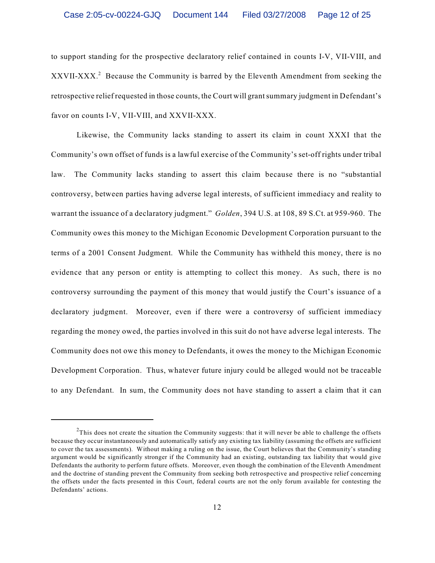to support standing for the prospective declaratory relief contained in counts I-V, VII-VIII, and XXVII-XXX.<sup>2</sup> Because the Community is barred by the Eleventh Amendment from seeking the retrospective relief requested in those counts, the Court will grantsummary judgment in Defendant's favor on counts I-V, VII-VIII, and XXVII-XXX.

Likewise, the Community lacks standing to assert its claim in count XXXI that the Community's own offset of funds is a lawful exercise of the Community's set-off rights under tribal law. The Community lacks standing to assert this claim because there is no "substantial controversy, between parties having adverse legal interests, of sufficient immediacy and reality to warrant the issuance of a declaratory judgment." *Golden*, 394 U.S. at 108, 89 S.Ct. at 959-960. The Community owes this money to the Michigan Economic Development Corporation pursuant to the terms of a 2001 Consent Judgment. While the Community has withheld this money, there is no evidence that any person or entity is attempting to collect this money. As such, there is no controversy surrounding the payment of this money that would justify the Court's issuance of a declaratory judgment. Moreover, even if there were a controversy of sufficient immediacy regarding the money owed, the parties involved in this suit do not have adverse legal interests. The Community does not owe this money to Defendants, it owes the money to the Michigan Economic Development Corporation. Thus, whatever future injury could be alleged would not be traceable to any Defendant. In sum, the Community does not have standing to assert a claim that it can

 $T<sup>2</sup>$ This does not create the situation the Community suggests: that it will never be able to challenge the offsets because they occur instantaneously and automatically satisfy any existing tax liability (assuming the offsets are sufficient to cover the tax assessments). Without making a ruling on the issue, the Court believes that the Community's standing argument would be significantly stronger if the Community had an existing, outstanding tax liability that would give Defendants the authority to perform future offsets. Moreover, even though the combination of the Eleventh Amendment and the doctrine of standing prevent the Community from seeking both retrospective and prospective relief concerning the offsets under the facts presented in this Court, federal courts are not the only forum available for contesting the Defendants' actions.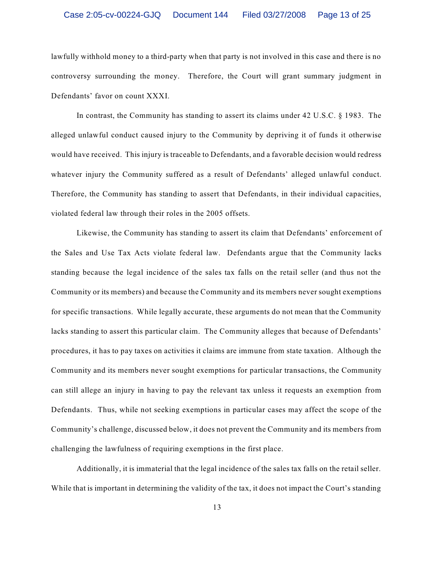### Case 2:05-cv-00224-GJQ Document 144 Filed 03/27/2008 Page 13 of 25

lawfully withhold money to a third-party when that party is not involved in this case and there is no controversy surrounding the money. Therefore, the Court will grant summary judgment in Defendants' favor on count XXXI.

In contrast, the Community has standing to assert its claims under 42 U.S.C. § 1983. The alleged unlawful conduct caused injury to the Community by depriving it of funds it otherwise would have received. This injury is traceable to Defendants, and a favorable decision would redress whatever injury the Community suffered as a result of Defendants' alleged unlawful conduct. Therefore, the Community has standing to assert that Defendants, in their individual capacities, violated federal law through their roles in the 2005 offsets.

Likewise, the Community has standing to assert its claim that Defendants' enforcement of the Sales and Use Tax Acts violate federal law. Defendants argue that the Community lacks standing because the legal incidence of the sales tax falls on the retail seller (and thus not the Community or its members) and because the Community and its members never sought exemptions for specific transactions. While legally accurate, these arguments do not mean that the Community lacks standing to assert this particular claim. The Community alleges that because of Defendants' procedures, it has to pay taxes on activities it claims are immune from state taxation. Although the Community and its members never sought exemptions for particular transactions, the Community can still allege an injury in having to pay the relevant tax unless it requests an exemption from Defendants. Thus, while not seeking exemptions in particular cases may affect the scope of the Community's challenge, discussed below, it does not prevent the Community and its members from challenging the lawfulness of requiring exemptions in the first place.

Additionally, it is immaterial that the legal incidence of the sales tax falls on the retail seller. While that is important in determining the validity of the tax, it does not impact the Court's standing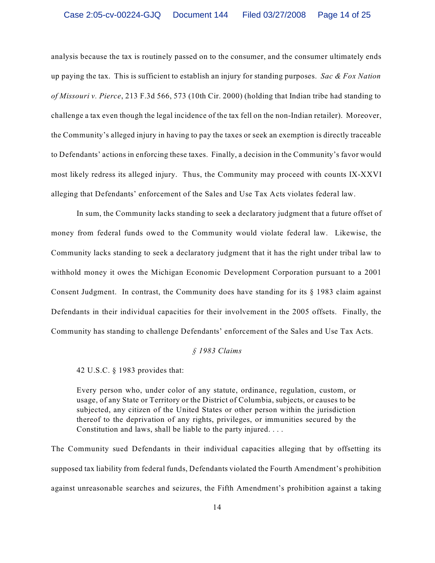analysis because the tax is routinely passed on to the consumer, and the consumer ultimately ends up paying the tax. This is sufficient to establish an injury for standing purposes. *Sac & Fox Nation of Missouri v. Pierce*, 213 F.3d 566, 573 (10th Cir. 2000) (holding that Indian tribe had standing to challenge a tax even though the legal incidence of the tax fell on the non-Indian retailer). Moreover, the Community's alleged injury in having to pay the taxes or seek an exemption is directly traceable to Defendants' actions in enforcing these taxes. Finally, a decision in the Community's favor would most likely redress its alleged injury. Thus, the Community may proceed with counts IX-XXVI alleging that Defendants' enforcement of the Sales and Use Tax Acts violates federal law.

In sum, the Community lacks standing to seek a declaratory judgment that a future offset of money from federal funds owed to the Community would violate federal law. Likewise, the Community lacks standing to seek a declaratory judgment that it has the right under tribal law to withhold money it owes the Michigan Economic Development Corporation pursuant to a 2001 Consent Judgment. In contrast, the Community does have standing for its § 1983 claim against Defendants in their individual capacities for their involvement in the 2005 offsets. Finally, the Community has standing to challenge Defendants' enforcement of the Sales and Use Tax Acts.

### *§ 1983 Claims*

42 U.S.C. § 1983 provides that:

Every person who, under color of any statute, ordinance, regulation, custom, or usage, of any State or Territory or the District of Columbia, subjects, or causes to be subjected, any citizen of the United States or other person within the jurisdiction thereof to the deprivation of any rights, privileges, or immunities secured by the Constitution and laws, shall be liable to the party injured. . . .

The Community sued Defendants in their individual capacities alleging that by offsetting its supposed tax liability from federal funds, Defendants violated the Fourth Amendment's prohibition against unreasonable searches and seizures, the Fifth Amendment's prohibition against a taking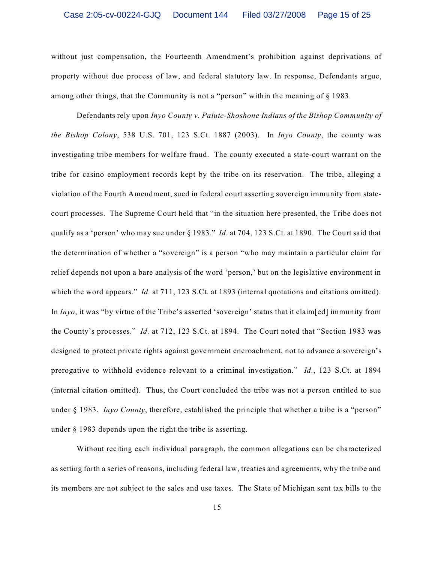without just compensation, the Fourteenth Amendment's prohibition against deprivations of property without due process of law, and federal statutory law. In response, Defendants argue, among other things, that the Community is not a "person" within the meaning of § 1983.

Defendants rely upon *Inyo County v. Paiute-Shoshone Indians of the Bishop Community of the Bishop Colony*, 538 U.S. 701, 123 S.Ct. 1887 (2003). In *Inyo County*, the county was investigating tribe members for welfare fraud. The county executed a state-court warrant on the tribe for casino employment records kept by the tribe on its reservation. The tribe, alleging a violation of the Fourth Amendment, sued in federal court asserting sovereign immunity from statecourt processes. The Supreme Court held that "in the situation here presented, the Tribe does not qualify as a 'person' who may sue under § 1983." *Id.* at 704, 123 S.Ct. at 1890. The Court said that the determination of whether a "sovereign" is a person "who may maintain a particular claim for relief depends not upon a bare analysis of the word 'person,' but on the legislative environment in which the word appears." *Id.* at 711, 123 S.Ct. at 1893 (internal quotations and citations omitted). In *Inyo*, it was "by virtue of the Tribe's asserted 'sovereign' status that it claim[ed] immunity from the County's processes." *Id.* at 712, 123 S.Ct. at 1894. The Court noted that "Section 1983 was designed to protect private rights against government encroachment, not to advance a sovereign's prerogative to withhold evidence relevant to a criminal investigation." *Id.*, 123 S.Ct. at 1894 (internal citation omitted). Thus, the Court concluded the tribe was not a person entitled to sue under § 1983. *Inyo County*, therefore, established the principle that whether a tribe is a "person" under § 1983 depends upon the right the tribe is asserting.

Without reciting each individual paragraph, the common allegations can be characterized as setting forth a series of reasons, including federal law, treaties and agreements, why the tribe and its members are not subject to the sales and use taxes. The State of Michigan sent tax bills to the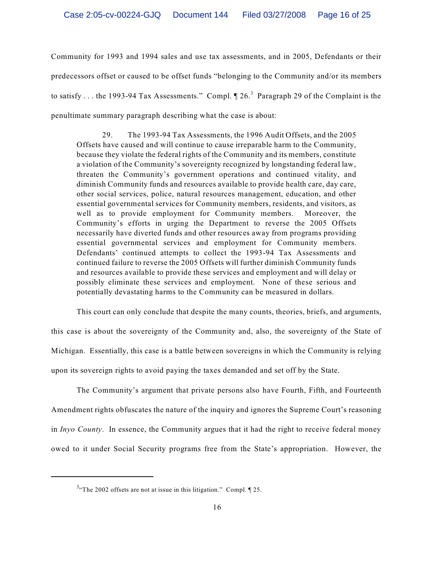Community for 1993 and 1994 sales and use tax assessments, and in 2005, Defendants or their predecessors offset or caused to be offset funds "belonging to the Community and/or its members to satisfy . . . the 1993-94 Tax Assessments." Compl.  $\P$  26.<sup>3</sup> Paragraph 29 of the Complaint is the penultimate summary paragraph describing what the case is about:

29. The 1993-94 Tax Assessments, the 1996 Audit Offsets, and the 2005 Offsets have caused and will continue to cause irreparable harm to the Community, because they violate the federal rights of the Community and its members, constitute a violation of the Community's sovereignty recognized by longstanding federal law, threaten the Community's government operations and continued vitality, and diminish Community funds and resources available to provide health care, day care, other social services, police, natural resources management, education, and other essential governmental services for Community members, residents, and visitors, as well as to provide employment for Community members. Moreover, the Community's efforts in urging the Department to reverse the 2005 Offsets necessarily have diverted funds and other resources away from programs providing essential governmental services and employment for Community members. Defendants' continued attempts to collect the 1993-94 Tax Assessments and continued failure to reverse the 2005 Offsets will further diminish Community funds and resources available to provide these services and employment and will delay or possibly eliminate these services and employment. None of these serious and potentially devastating harms to the Community can be measured in dollars.

This court can only conclude that despite the many counts, theories, briefs, and arguments,

this case is about the sovereignty of the Community and, also, the sovereignty of the State of Michigan. Essentially, this case is a battle between sovereigns in which the Community is relying upon its sovereign rights to avoid paying the taxes demanded and set off by the State.

The Community's argument that private persons also have Fourth, Fifth, and Fourteenth Amendment rights obfuscates the nature of the inquiry and ignores the Supreme Court's reasoning in *Inyo County*. In essence, the Community argues that it had the right to receive federal money owed to it under Social Security programs free from the State's appropriation. However, the

<sup>&</sup>lt;sup>3</sup> The 2002 offsets are not at issue in this litigation." Compl.  $\sqrt{ }$  25.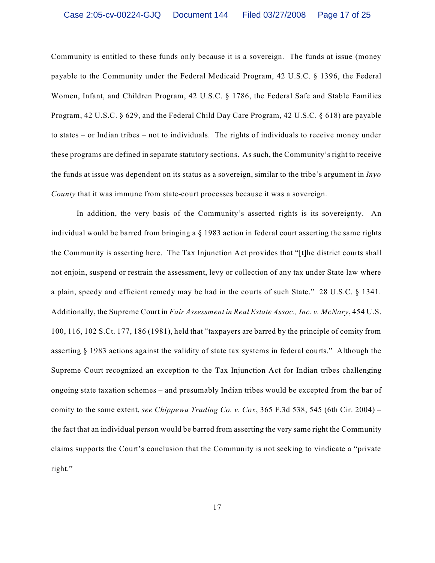Community is entitled to these funds only because it is a sovereign. The funds at issue (money payable to the Community under the Federal Medicaid Program, 42 U.S.C. § 1396, the Federal Women, Infant, and Children Program, 42 U.S.C. § 1786, the Federal Safe and Stable Families Program, 42 U.S.C. § 629, and the Federal Child Day Care Program, 42 U.S.C. § 618) are payable to states – or Indian tribes – not to individuals. The rights of individuals to receive money under these programs are defined in separate statutory sections. As such, the Community's right to receive the funds at issue was dependent on its status as a sovereign, similar to the tribe's argument in *Inyo County* that it was immune from state-court processes because it was a sovereign.

In addition, the very basis of the Community's asserted rights is its sovereignty. An individual would be barred from bringing a § 1983 action in federal court asserting the same rights the Community is asserting here. The Tax Injunction Act provides that "[t]he district courts shall not enjoin, suspend or restrain the assessment, levy or collection of any tax under State law where a plain, speedy and efficient remedy may be had in the courts of such State." 28 U.S.C. § 1341. Additionally, the Supreme Court in *Fair Assessment in Real Estate Assoc., Inc. v. McNary*, 454 U.S. 100, 116, 102 S.Ct. 177, 186 (1981), held that "taxpayers are barred by the principle of comity from asserting § 1983 actions against the validity of state tax systems in federal courts." Although the Supreme Court recognized an exception to the Tax Injunction Act for Indian tribes challenging ongoing state taxation schemes – and presumably Indian tribes would be excepted from the bar of comity to the same extent, *see Chippewa Trading Co. v. Cox*, 365 F.3d 538, 545 (6th Cir. 2004) – the fact that an individual person would be barred from asserting the very same right the Community claims supports the Court's conclusion that the Community is not seeking to vindicate a "private right."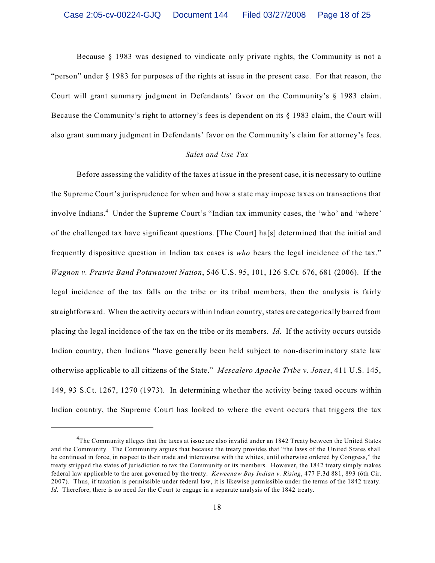Because § 1983 was designed to vindicate only private rights, the Community is not a "person" under § 1983 for purposes of the rights at issue in the present case. For that reason, the Court will grant summary judgment in Defendants' favor on the Community's § 1983 claim. Because the Community's right to attorney's fees is dependent on its § 1983 claim, the Court will also grant summary judgment in Defendants' favor on the Community's claim for attorney's fees.

# *Sales and Use Tax*

Before assessing the validity of the taxes at issue in the present case, it is necessary to outline the Supreme Court's jurisprudence for when and how a state may impose taxes on transactions that involve Indians.<sup>4</sup> Under the Supreme Court's "Indian tax immunity cases, the 'who' and 'where' of the challenged tax have significant questions. [The Court] ha[s] determined that the initial and frequently dispositive question in Indian tax cases is *who* bears the legal incidence of the tax." *Wagnon v. Prairie Band Potawatomi Nation*, 546 U.S. 95, 101, 126 S.Ct. 676, 681 (2006). If the legal incidence of the tax falls on the tribe or its tribal members, then the analysis is fairly straightforward. When the activity occurs within Indian country, states are categorically barred from placing the legal incidence of the tax on the tribe or its members. *Id.* If the activity occurs outside Indian country, then Indians "have generally been held subject to non-discriminatory state law otherwise applicable to all citizens of the State." *Mescalero Apache Tribe v. Jones*, 411 U.S. 145, 149, 93 S.Ct. 1267, 1270 (1973). In determining whether the activity being taxed occurs within Indian country, the Supreme Court has looked to where the event occurs that triggers the tax

 ${}^{4}$ The Community alleges that the taxes at issue are also invalid under an 1842 Treaty between the United States and the Community. The Community argues that because the treaty provides that "the laws of the United States shall be continued in force, in respect to their trade and intercourse with the whites, until otherwise ordered by Congress," the treaty stripped the states of jurisdiction to tax the Community or its members. However, the 1842 treaty simply makes federal law applicable to the area governed by the treaty. *Keweenaw Bay Indian v. Rising*, 477 F.3d 881, 893 (6th Cir. 2007). Thus, if taxation is permissible under federal law, it is likewise permissible under the terms of the 1842 treaty. *Id.* Therefore, there is no need for the Court to engage in a separate analysis of the 1842 treaty.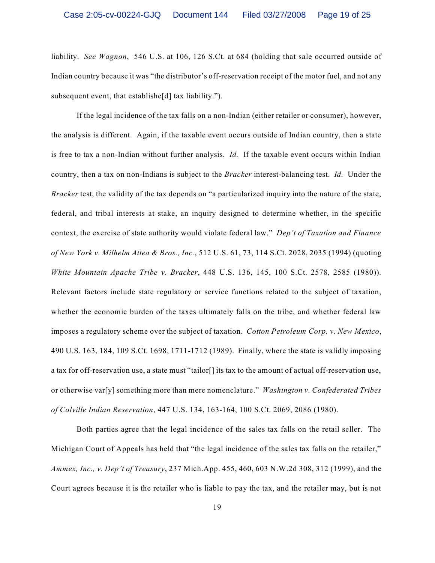liability. *See Wagnon*, 546 U.S. at 106, 126 S.Ct. at 684 (holding that sale occurred outside of Indian country because it was "the distributor's off-reservation receipt of the motor fuel, and not any subsequent event, that establishe[d] tax liability.").

If the legal incidence of the tax falls on a non-Indian (either retailer or consumer), however, the analysis is different. Again, if the taxable event occurs outside of Indian country, then a state is free to tax a non-Indian without further analysis. *Id.* If the taxable event occurs within Indian country, then a tax on non-Indians is subject to the *Bracker* interest-balancing test. *Id.* Under the *Bracker* test, the validity of the tax depends on "a particularized inquiry into the nature of the state, federal, and tribal interests at stake, an inquiry designed to determine whether, in the specific context, the exercise of state authority would violate federal law." *Dep't of Taxation and Finance of New York v. Milhelm Attea & Bros., Inc.*, 512 U.S. 61, 73, 114 S.Ct. 2028, 2035 (1994) (quoting *White Mountain Apache Tribe v. Bracker*, 448 U.S. 136, 145, 100 S.Ct. 2578, 2585 (1980)). Relevant factors include state regulatory or service functions related to the subject of taxation, whether the economic burden of the taxes ultimately falls on the tribe, and whether federal law imposes a regulatory scheme over the subject of taxation. *Cotton Petroleum Corp. v. New Mexico*, 490 U.S. 163, 184, 109 S.Ct. 1698, 1711-1712 (1989). Finally, where the state is validly imposing a tax for off-reservation use, a state must "tailor<sup>[]</sup> its tax to the amount of actual off-reservation use, or otherwise var[y] something more than mere nomenclature." *Washington v. Confederated Tribes of Colville Indian Reservation*, 447 U.S. 134, 163-164, 100 S.Ct. 2069, 2086 (1980).

Both parties agree that the legal incidence of the sales tax falls on the retail seller. The Michigan Court of Appeals has held that "the legal incidence of the sales tax falls on the retailer," *Ammex, Inc., v. Dep't of Treasury*, 237 Mich.App. 455, 460, 603 N.W.2d 308, 312 (1999), and the Court agrees because it is the retailer who is liable to pay the tax, and the retailer may, but is not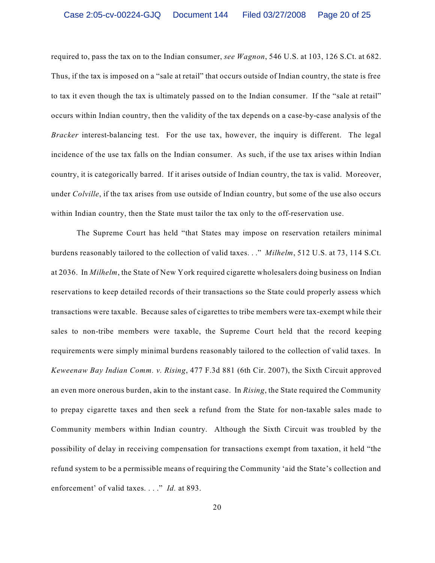required to, pass the tax on to the Indian consumer, *see Wagnon*, 546 U.S. at 103, 126 S.Ct. at 682. Thus, if the tax is imposed on a "sale at retail" that occurs outside of Indian country, the state is free to tax it even though the tax is ultimately passed on to the Indian consumer. If the "sale at retail" occurs within Indian country, then the validity of the tax depends on a case-by-case analysis of the *Bracker* interest-balancing test. For the use tax, however, the inquiry is different. The legal incidence of the use tax falls on the Indian consumer. As such, if the use tax arises within Indian country, it is categorically barred. If it arises outside of Indian country, the tax is valid. Moreover, under *Colville*, if the tax arises from use outside of Indian country, but some of the use also occurs within Indian country, then the State must tailor the tax only to the off-reservation use.

The Supreme Court has held "that States may impose on reservation retailers minimal burdens reasonably tailored to the collection of valid taxes. . ." *Milhelm*, 512 U.S. at 73, 114 S.Ct. at 2036. In *Milhelm*, the State of New York required cigarette wholesalers doing business on Indian reservations to keep detailed records of their transactions so the State could properly assess which transactions were taxable. Because sales of cigarettes to tribe members were tax-exempt while their sales to non-tribe members were taxable, the Supreme Court held that the record keeping requirements were simply minimal burdens reasonably tailored to the collection of valid taxes. In *Keweenaw Bay Indian Comm. v. Rising*, 477 F.3d 881 (6th Cir. 2007), the Sixth Circuit approved an even more onerous burden, akin to the instant case. In *Rising*, the State required the Community to prepay cigarette taxes and then seek a refund from the State for non-taxable sales made to Community members within Indian country. Although the Sixth Circuit was troubled by the possibility of delay in receiving compensation for transactions exempt from taxation, it held "the refund system to be a permissible means of requiring the Community 'aid the State's collection and enforcement' of valid taxes. . . ." *Id.* at 893.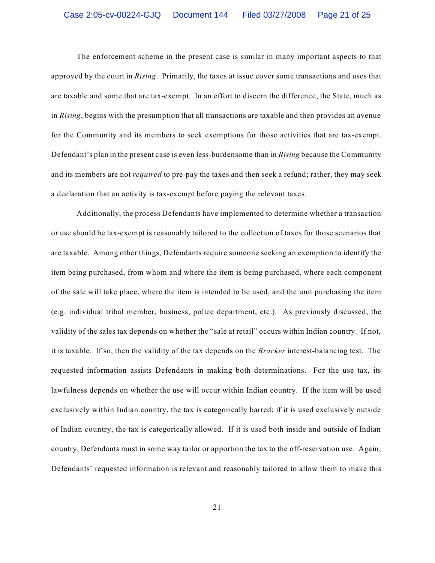The enforcement scheme in the present case is similar in many important aspects to that approved by the court in *Rising*. Primarily, the taxes at issue cover some transactions and uses that are taxable and some that are tax-exempt. In an effort to discern the difference, the State, much as in *Rising*, begins with the presumption that all transactions are taxable and then provides an avenue for the Community and its members to seek exemptions for those activities that are tax-exempt. Defendant's plan in the present case is even less-burdensome than in *Rising* because the Community and its members are not *required* to pre-pay the taxes and then seek a refund; rather, they may seek a declaration that an activity is tax-exempt before paying the relevant taxes.

Additionally, the process Defendants have implemented to determine whether a transaction or use should be tax-exempt is reasonably tailored to the collection of taxes for those scenarios that are taxable. Among other things, Defendants require someone seeking an exemption to identify the item being purchased, from whom and where the item is being purchased, where each component of the sale will take place, where the item is intended to be used, and the unit purchasing the item (e.g. individual tribal member, business, police department, etc.). As previously discussed, the validity of the sales tax depends on whether the "sale at retail" occurs within Indian country. If not, it is taxable. If so, then the validity of the tax depends on the *Bracker* interest-balancing test. The requested information assists Defendants in making both determinations. For the use tax, its lawfulness depends on whether the use will occur within Indian country. If the item will be used exclusively within Indian country, the tax is categorically barred; if it is used exclusively outside of Indian country, the tax is categorically allowed. If it is used both inside and outside of Indian country, Defendants must in some way tailor or apportion the tax to the off-reservation use. Again, Defendants' requested information is relevant and reasonably tailored to allow them to make this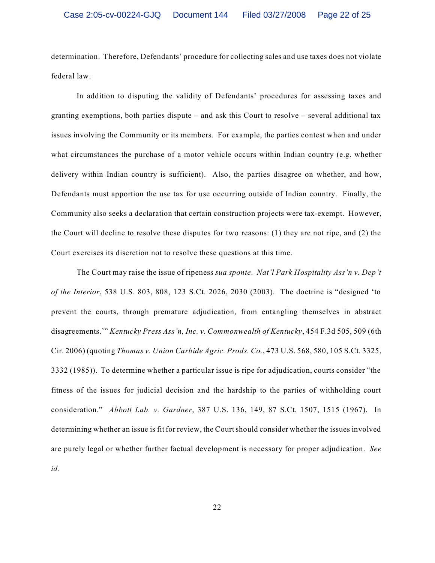determination. Therefore, Defendants' procedure for collecting sales and use taxes does not violate federal law.

In addition to disputing the validity of Defendants' procedures for assessing taxes and granting exemptions, both parties dispute – and ask this Court to resolve – several additional tax issues involving the Community or its members. For example, the parties contest when and under what circumstances the purchase of a motor vehicle occurs within Indian country (e.g. whether delivery within Indian country is sufficient). Also, the parties disagree on whether, and how, Defendants must apportion the use tax for use occurring outside of Indian country. Finally, the Community also seeks a declaration that certain construction projects were tax-exempt. However, the Court will decline to resolve these disputes for two reasons: (1) they are not ripe, and (2) the Court exercises its discretion not to resolve these questions at this time.

The Court may raise the issue of ripeness *sua sponte*. *Nat'l Park Hospitality Ass'n v. Dep't of the Interior*, 538 U.S. 803, 808, 123 S.Ct. 2026, 2030 (2003). The doctrine is "designed 'to prevent the courts, through premature adjudication, from entangling themselves in abstract disagreements.'" *Kentucky Press Ass'n, Inc. v. Commonwealth of Kentucky*, 454 F.3d 505, 509 (6th Cir. 2006) (quoting *Thomas v. Union Carbide Agric. Prods. Co.*, 473 U.S. 568, 580, 105 S.Ct. 3325, 3332 (1985)). To determine whether a particular issue is ripe for adjudication, courts consider "the fitness of the issues for judicial decision and the hardship to the parties of withholding court consideration." *Abbott Lab. v. Gardner*, 387 U.S. 136, 149, 87 S.Ct. 1507, 1515 (1967). In determining whether an issue is fit for review, the Courtshould consider whether the issues involved are purely legal or whether further factual development is necessary for proper adjudication. *See id.*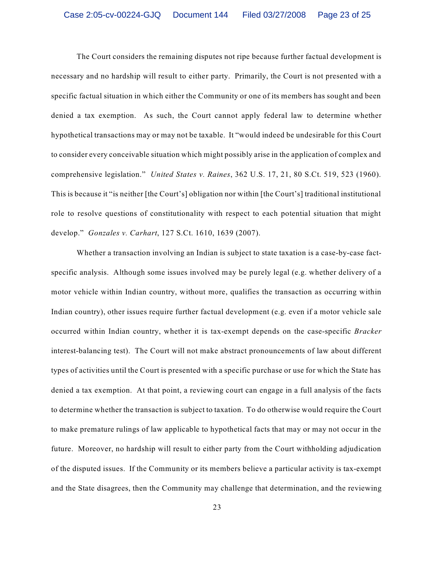The Court considers the remaining disputes not ripe because further factual development is necessary and no hardship will result to either party. Primarily, the Court is not presented with a specific factual situation in which either the Community or one of its members has sought and been denied a tax exemption. As such, the Court cannot apply federal law to determine whether hypothetical transactions may or may not be taxable. It "would indeed be undesirable for this Court to consider every conceivable situation which might possibly arise in the application of complex and comprehensive legislation." *United States v. Raines*, 362 U.S. 17, 21, 80 S.Ct. 519, 523 (1960). This is because it "is neither [the Court's] obligation nor within [the Court's] traditional institutional role to resolve questions of constitutionality with respect to each potential situation that might develop." *Gonzales v. Carhart*, 127 S.Ct. 1610, 1639 (2007).

Whether a transaction involving an Indian is subject to state taxation is a case-by-case factspecific analysis. Although some issues involved may be purely legal (e.g. whether delivery of a motor vehicle within Indian country, without more, qualifies the transaction as occurring within Indian country), other issues require further factual development (e.g. even if a motor vehicle sale occurred within Indian country, whether it is tax-exempt depends on the case-specific *Bracker* interest-balancing test). The Court will not make abstract pronouncements of law about different types of activities until the Court is presented with a specific purchase or use for which the State has denied a tax exemption. At that point, a reviewing court can engage in a full analysis of the facts to determine whether the transaction is subject to taxation. To do otherwise would require the Court to make premature rulings of law applicable to hypothetical facts that may or may not occur in the future. Moreover, no hardship will result to either party from the Court withholding adjudication of the disputed issues. If the Community or its members believe a particular activity is tax-exempt and the State disagrees, then the Community may challenge that determination, and the reviewing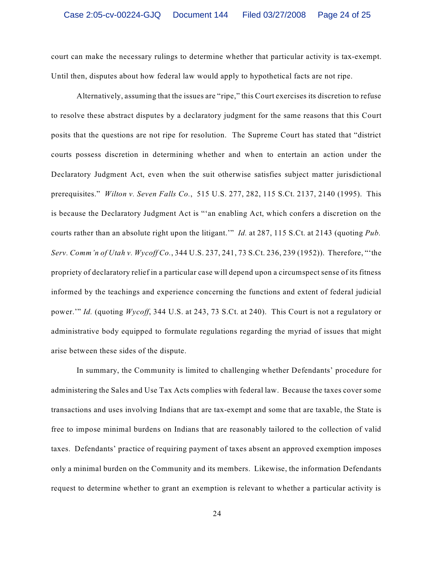court can make the necessary rulings to determine whether that particular activity is tax-exempt. Until then, disputes about how federal law would apply to hypothetical facts are not ripe.

Alternatively, assuming that the issues are "ripe," this Court exercises its discretion to refuse to resolve these abstract disputes by a declaratory judgment for the same reasons that this Court posits that the questions are not ripe for resolution. The Supreme Court has stated that "district courts possess discretion in determining whether and when to entertain an action under the Declaratory Judgment Act, even when the suit otherwise satisfies subject matter jurisdictional prerequisites." *Wilton v. Seven Falls Co.*, 515 U.S. 277, 282, 115 S.Ct. 2137, 2140 (1995). This is because the Declaratory Judgment Act is "'an enabling Act, which confers a discretion on the courts rather than an absolute right upon the litigant.'" *Id.* at 287, 115 S.Ct. at 2143 (quoting *Pub. Serv. Comm'n of Utah v. Wycoff Co.*, 344 U.S. 237, 241, 73 S.Ct. 236, 239 (1952)). Therefore, "'the propriety of declaratory relief in a particular case will depend upon a circumspect sense of its fitness informed by the teachings and experience concerning the functions and extent of federal judicial power.'" *Id.* (quoting *Wycoff*, 344 U.S. at 243, 73 S.Ct. at 240). This Court is not a regulatory or administrative body equipped to formulate regulations regarding the myriad of issues that might arise between these sides of the dispute.

In summary, the Community is limited to challenging whether Defendants' procedure for administering the Sales and Use Tax Acts complies with federal law. Because the taxes cover some transactions and uses involving Indians that are tax-exempt and some that are taxable, the State is free to impose minimal burdens on Indians that are reasonably tailored to the collection of valid taxes. Defendants' practice of requiring payment of taxes absent an approved exemption imposes only a minimal burden on the Community and its members. Likewise, the information Defendants request to determine whether to grant an exemption is relevant to whether a particular activity is